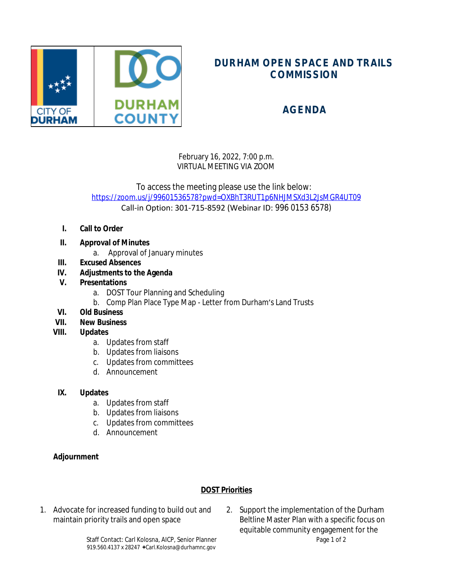

# **DURHAM OPEN SPACE AND TRAILS COMMISSION**

## **AGENDA**

February 16, 2022, 7:00 p.m. VIRTUAL MEETING VIA ZOOM

To access the meeting please use the link below: <https://zoom.us/j/99601536578?pwd=OXBhT3RUT1p6NHJMSXd3L2JsMGR4UT09> Call-in Option: 301-715-8592 (Webinar ID: 996 0153 6578)

- **I. Call to Order**
- **II. Approval of Minutes**
	- a. Approval of January minutes
- **III. Excused Absences**
- **IV. Adjustments to the Agenda**
- **V. Presentations**
	- a. DOST Tour Planning and Scheduling
	- b. Comp Plan Place Type Map Letter from Durham's Land Trusts
- **VI. Old Business**
- **VII. New Business**
- **VIII. Updates**
	- a. Updates from staff
	- b. Updates from liaisons
	- c. Updates from committees
	- d. Announcement

### **IX. Updates**

- a. Updates from staff
- b. Updates from liaisons
- c. Updates from committees
- d. Announcement

### **Adjournment**

### **DOST Priorities**

- 1. Advocate for increased funding to build out and maintain priority trails and open space
- 2. Support the implementation of the Durham Beltline Master Plan with a specific focus on equitable community engagement for the

Staff Contact: Carl Kolosna, AICP, Senior Planner Page 1 of 2 919.560.4137 x 28247  $\bigstar$ Carl.Kolosna@durhamnc.gov